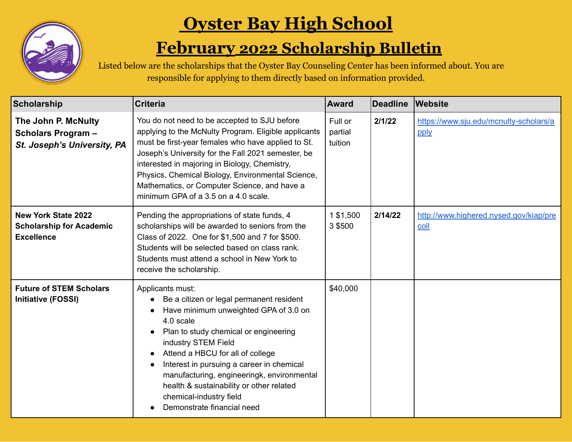

## **Oyster Bay High School**

## **February 2022 Scholarship Bulletin**

Listed below are the scholarships that the Oyster Bay Counseling Center has been informed about. You are responsible for applying to them directly based on information provided.

| <b>Scholarship</b>                                                                 | <b>Criteria</b>                                                                                                                                                                                                                                                                                                                                                                                                        | <b>Award</b>                  | Deadline | <b>Website</b>                                 |
|------------------------------------------------------------------------------------|------------------------------------------------------------------------------------------------------------------------------------------------------------------------------------------------------------------------------------------------------------------------------------------------------------------------------------------------------------------------------------------------------------------------|-------------------------------|----------|------------------------------------------------|
| The John P. McNulty<br><b>Scholars Program-</b><br>St. Joseph's University, PA     | You do not need to be accepted to SJU before<br>applying to the McNulty Program. Eligible applicants<br>must be first-year females who have applied to St.<br>Joseph's University for the Fall 2021 semester, be<br>interested in majoring in Biology, Chemistry,<br>Physics, Chemical Biology, Environmental Science,<br>Mathematics, or Computer Science, and have a<br>minimum GPA of a 3.5 on a 4.0 scale.         | Full or<br>partial<br>tuition | 2/1/22   | https://www.sju.edu/mcnulty-scholars/a<br>pply |
| <b>New York State 2022</b><br><b>Scholarship for Academic</b><br><b>Excellence</b> | Pending the appropriations of state funds, 4<br>scholarships will be awarded to seniors from the<br>Class of 2022. One for \$1,500 and 7 for \$500.<br>Students will be selected based on class rank.<br>Students must attend a school in New York to<br>receive the scholarship.                                                                                                                                      | 1 \$1,500<br>3 \$500          | 2/14/22  | http://www.highered.nysed.gov/kiap/pre<br>coll |
| <b>Future of STEM Scholars</b><br><b>Initiative (FOSSI)</b>                        | Applicants must:<br>Be a citizen or legal permanent resident<br>Have minimum unweighted GPA of 3.0 on<br>4.0 scale<br>Plan to study chemical or engineering<br>industry STEM Field<br>Attend a HBCU for all of college<br>Interest in pursuing a career in chemical<br>manufacturing, engineeringk, environmental<br>health & sustainability or other related<br>chemical-industry field<br>Demonstrate financial need | \$40,000                      |          |                                                |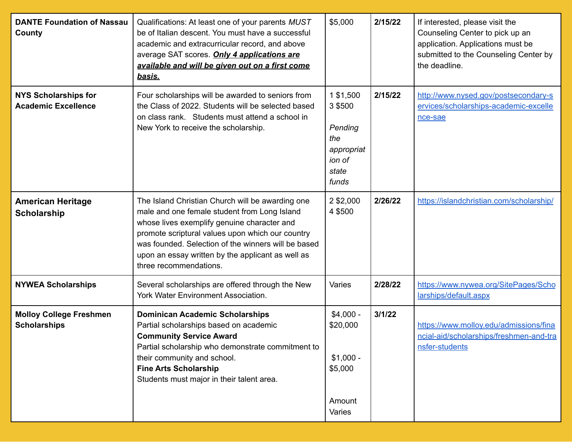| <b>DANTE Foundation of Nassau</b><br>County               | Qualifications: At least one of your parents MUST<br>be of Italian descent. You must have a successful<br>academic and extracurricular record, and above<br>average SAT scores. Only 4 applications are<br>available and will be given out on a first come<br><u>basis.</u>                                                               | \$5,000                                                                          | 2/15/22 | If interested, please visit the<br>Counseling Center to pick up an<br>application. Applications must be<br>submitted to the Counseling Center by<br>the deadline. |
|-----------------------------------------------------------|-------------------------------------------------------------------------------------------------------------------------------------------------------------------------------------------------------------------------------------------------------------------------------------------------------------------------------------------|----------------------------------------------------------------------------------|---------|-------------------------------------------------------------------------------------------------------------------------------------------------------------------|
| <b>NYS Scholarships for</b><br><b>Academic Excellence</b> | Four scholarships will be awarded to seniors from<br>the Class of 2022. Students will be selected based<br>on class rank. Students must attend a school in<br>New York to receive the scholarship.                                                                                                                                        | 1 \$1,500<br>3 \$500<br>Pending<br>the<br>appropriat<br>ion of<br>state<br>funds | 2/15/22 | http://www.nysed.gov/postsecondary-s<br>ervices/scholarships-academic-excelle<br>nce-sae                                                                          |
| <b>American Heritage</b><br><b>Scholarship</b>            | The Island Christian Church will be awarding one<br>male and one female student from Long Island<br>whose lives exemplify genuine character and<br>promote scriptural values upon which our country<br>was founded. Selection of the winners will be based<br>upon an essay written by the applicant as well as<br>three recommendations. | 2 \$2,000<br>4 \$500                                                             | 2/26/22 | https://islandchristian.com/scholarship/                                                                                                                          |
| <b>NYWEA Scholarships</b>                                 | Several scholarships are offered through the New<br>York Water Environment Association.                                                                                                                                                                                                                                                   | Varies                                                                           | 2/28/22 | https://www.nywea.org/SitePages/Scho<br>larships/default.aspx                                                                                                     |
| <b>Molloy College Freshmen</b><br><b>Scholarships</b>     | <b>Dominican Academic Scholarships</b><br>Partial scholarships based on academic<br><b>Community Service Award</b><br>Partial scholarship who demonstrate commitment to<br>their community and school.<br><b>Fine Arts Scholarship</b><br>Students must major in their talent area.                                                       | $$4,000 -$<br>\$20,000<br>$$1,000 -$<br>\$5,000<br>Amount<br>Varies              | 3/1/22  | https://www.molloy.edu/admissions/fina<br>ncial-aid/scholarships/freshmen-and-tra<br>nsfer-students                                                               |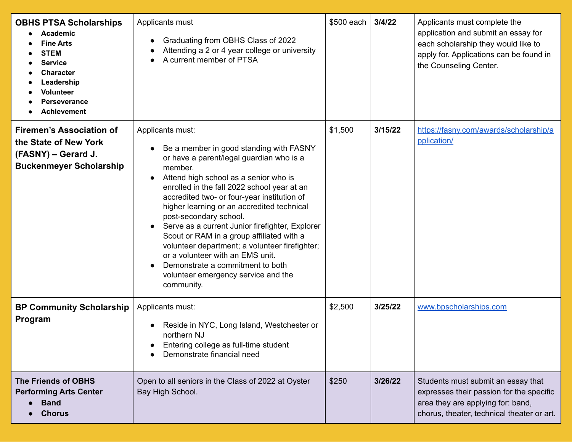| <b>OBHS PTSA Scholarships</b><br>Academic<br><b>Fine Arts</b><br><b>STEM</b><br><b>Service</b><br><b>Character</b><br>Leadership<br><b>Volunteer</b><br><b>Perseverance</b><br><b>Achievement</b> | Applicants must<br>Graduating from OBHS Class of 2022<br>Attending a 2 or 4 year college or university<br>A current member of PTSA                                                                                                                                                                                                                                                                                                                                                                                                                                                                                            | \$500 each | 3/4/22  | Applicants must complete the<br>application and submit an essay for<br>each scholarship they would like to<br>apply for. Applications can be found in<br>the Counseling Center. |
|---------------------------------------------------------------------------------------------------------------------------------------------------------------------------------------------------|-------------------------------------------------------------------------------------------------------------------------------------------------------------------------------------------------------------------------------------------------------------------------------------------------------------------------------------------------------------------------------------------------------------------------------------------------------------------------------------------------------------------------------------------------------------------------------------------------------------------------------|------------|---------|---------------------------------------------------------------------------------------------------------------------------------------------------------------------------------|
| <b>Firemen's Association of</b><br>the State of New York<br>(FASNY) - Gerard J.<br><b>Buckenmeyer Scholarship</b>                                                                                 | Applicants must:<br>Be a member in good standing with FASNY<br>or have a parent/legal guardian who is a<br>member.<br>Attend high school as a senior who is<br>$\bullet$<br>enrolled in the fall 2022 school year at an<br>accredited two- or four-year institution of<br>higher learning or an accredited technical<br>post-secondary school.<br>Serve as a current Junior firefighter, Explorer<br>Scout or RAM in a group affiliated with a<br>volunteer department; a volunteer firefighter;<br>or a volunteer with an EMS unit.<br>Demonstrate a commitment to both<br>volunteer emergency service and the<br>community. | \$1,500    | 3/15/22 | https://fasny.com/awards/scholarship/a<br>pplication/                                                                                                                           |
| <b>BP Community Scholarship</b><br>Program                                                                                                                                                        | Applicants must:<br>Reside in NYC, Long Island, Westchester or<br>northern NJ<br>Entering college as full-time student<br>Demonstrate financial need                                                                                                                                                                                                                                                                                                                                                                                                                                                                          | \$2,500    | 3/25/22 | www.bpscholarships.com                                                                                                                                                          |
| <b>The Friends of OBHS</b><br><b>Performing Arts Center</b><br><b>Band</b><br><b>Chorus</b>                                                                                                       | Open to all seniors in the Class of 2022 at Oyster<br>Bay High School.                                                                                                                                                                                                                                                                                                                                                                                                                                                                                                                                                        | \$250      | 3/26/22 | Students must submit an essay that<br>expresses their passion for the specific<br>area they are applying for: band,<br>chorus, theater, technical theater or art.               |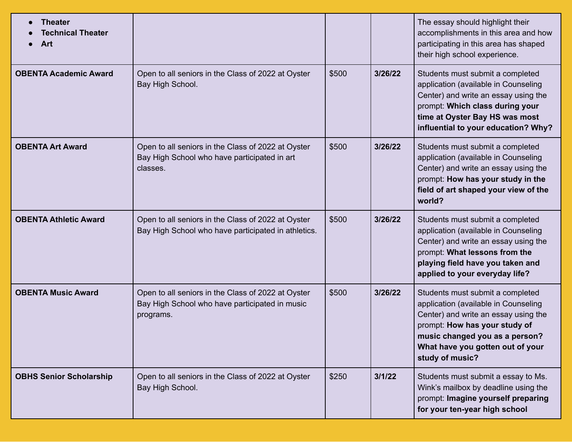| <b>Theater</b><br><b>Technical Theater</b><br>Art |                                                                                                                   |       |         | The essay should highlight their<br>accomplishments in this area and how<br>participating in this area has shaped<br>their high school experience.                                                                                         |
|---------------------------------------------------|-------------------------------------------------------------------------------------------------------------------|-------|---------|--------------------------------------------------------------------------------------------------------------------------------------------------------------------------------------------------------------------------------------------|
| <b>OBENTA Academic Award</b>                      | Open to all seniors in the Class of 2022 at Oyster<br>Bay High School.                                            | \$500 | 3/26/22 | Students must submit a completed<br>application (available in Counseling<br>Center) and write an essay using the<br>prompt: Which class during your<br>time at Oyster Bay HS was most<br>influential to your education? Why?               |
| <b>OBENTA Art Award</b>                           | Open to all seniors in the Class of 2022 at Oyster<br>Bay High School who have participated in art<br>classes.    | \$500 | 3/26/22 | Students must submit a completed<br>application (available in Counseling<br>Center) and write an essay using the<br>prompt: How has your study in the<br>field of art shaped your view of the<br>world?                                    |
| <b>OBENTA Athletic Award</b>                      | Open to all seniors in the Class of 2022 at Oyster<br>Bay High School who have participated in athletics.         | \$500 | 3/26/22 | Students must submit a completed<br>application (available in Counseling<br>Center) and write an essay using the<br>prompt: What lessons from the<br>playing field have you taken and<br>applied to your everyday life?                    |
| <b>OBENTA Music Award</b>                         | Open to all seniors in the Class of 2022 at Oyster<br>Bay High School who have participated in music<br>programs. | \$500 | 3/26/22 | Students must submit a completed<br>application (available in Counseling<br>Center) and write an essay using the<br>prompt: How has your study of<br>music changed you as a person?<br>What have you gotten out of your<br>study of music? |
| <b>OBHS Senior Scholarship</b>                    | Open to all seniors in the Class of 2022 at Oyster<br>Bay High School.                                            | \$250 | 3/1/22  | Students must submit a essay to Ms.<br>Wink's mailbox by deadline using the<br>prompt: Imagine yourself preparing<br>for your ten-year high school                                                                                         |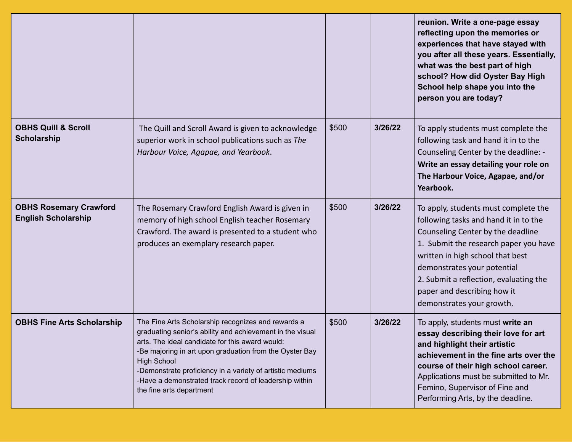|                                                             |                                                                                                                                                                                                                                                                                                                                                                                                        |       |         | reunion. Write a one-page essay<br>reflecting upon the memories or<br>experiences that have stayed with<br>you after all these years. Essentially,<br>what was the best part of high<br>school? How did Oyster Bay High<br>School help shape you into the<br>person you are today?                                                   |
|-------------------------------------------------------------|--------------------------------------------------------------------------------------------------------------------------------------------------------------------------------------------------------------------------------------------------------------------------------------------------------------------------------------------------------------------------------------------------------|-------|---------|--------------------------------------------------------------------------------------------------------------------------------------------------------------------------------------------------------------------------------------------------------------------------------------------------------------------------------------|
| <b>OBHS Quill &amp; Scroll</b><br><b>Scholarship</b>        | The Quill and Scroll Award is given to acknowledge<br>superior work in school publications such as The<br>Harbour Voice, Agapae, and Yearbook.                                                                                                                                                                                                                                                         | \$500 | 3/26/22 | To apply students must complete the<br>following task and hand it in to the<br>Counseling Center by the deadline: -<br>Write an essay detailing your role on<br>The Harbour Voice, Agapae, and/or<br>Yearbook.                                                                                                                       |
| <b>OBHS Rosemary Crawford</b><br><b>English Scholarship</b> | The Rosemary Crawford English Award is given in<br>memory of high school English teacher Rosemary<br>Crawford. The award is presented to a student who<br>produces an exemplary research paper.                                                                                                                                                                                                        | \$500 | 3/26/22 | To apply, students must complete the<br>following tasks and hand it in to the<br>Counseling Center by the deadline<br>1. Submit the research paper you have<br>written in high school that best<br>demonstrates your potential<br>2. Submit a reflection, evaluating the<br>paper and describing how it<br>demonstrates your growth. |
| <b>OBHS Fine Arts Scholarship</b>                           | The Fine Arts Scholarship recognizes and rewards a<br>graduating senior's ability and achievement in the visual<br>arts. The ideal candidate for this award would:<br>-Be majoring in art upon graduation from the Oyster Bay<br><b>High School</b><br>-Demonstrate proficiency in a variety of artistic mediums<br>-Have a demonstrated track record of leadership within<br>the fine arts department | \$500 | 3/26/22 | To apply, students must write an<br>essay describing their love for art<br>and highlight their artistic<br>achievement in the fine arts over the<br>course of their high school career.<br>Applications must be submitted to Mr.<br>Femino, Supervisor of Fine and<br>Performing Arts, by the deadline.                              |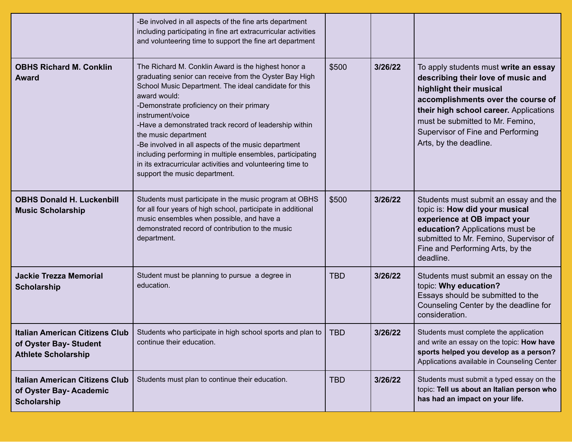|                                                                                        | -Be involved in all aspects of the fine arts department<br>including participating in fine art extracurricular activities<br>and volunteering time to support the fine art department                                                                                                                                                                                                                                                                                                                                                                        |            |         |                                                                                                                                                                                                                                                                                           |
|----------------------------------------------------------------------------------------|--------------------------------------------------------------------------------------------------------------------------------------------------------------------------------------------------------------------------------------------------------------------------------------------------------------------------------------------------------------------------------------------------------------------------------------------------------------------------------------------------------------------------------------------------------------|------------|---------|-------------------------------------------------------------------------------------------------------------------------------------------------------------------------------------------------------------------------------------------------------------------------------------------|
| <b>OBHS Richard M. Conklin</b><br><b>Award</b>                                         | The Richard M. Conklin Award is the highest honor a<br>graduating senior can receive from the Oyster Bay High<br>School Music Department. The ideal candidate for this<br>award would:<br>-Demonstrate proficiency on their primary<br>instrument/voice<br>-Have a demonstrated track record of leadership within<br>the music department<br>-Be involved in all aspects of the music department<br>including performing in multiple ensembles, participating<br>in its extracurricular activities and volunteering time to<br>support the music department. | \$500      | 3/26/22 | To apply students must write an essay<br>describing their love of music and<br>highlight their musical<br>accomplishments over the course of<br>their high school career. Applications<br>must be submitted to Mr. Femino,<br>Supervisor of Fine and Performing<br>Arts, by the deadline. |
| <b>OBHS Donald H. Luckenbill</b><br><b>Music Scholarship</b>                           | Students must participate in the music program at OBHS<br>for all four years of high school, participate in additional<br>music ensembles when possible, and have a<br>demonstrated record of contribution to the music<br>department.                                                                                                                                                                                                                                                                                                                       | \$500      | 3/26/22 | Students must submit an essay and the<br>topic is: How did your musical<br>experience at OB impact your<br>education? Applications must be<br>submitted to Mr. Femino, Supervisor of<br>Fine and Performing Arts, by the<br>deadline.                                                     |
| <b>Jackie Trezza Memorial</b><br><b>Scholarship</b>                                    | Student must be planning to pursue a degree in<br>education.                                                                                                                                                                                                                                                                                                                                                                                                                                                                                                 | <b>TBD</b> | 3/26/22 | Students must submit an essay on the<br>topic: Why education?<br>Essays should be submitted to the<br>Counseling Center by the deadline for<br>consideration.                                                                                                                             |
| Italian American Citizens Club<br>of Oyster Bay- Student<br><b>Athlete Scholarship</b> | Students who participate in high school sports and plan to  <br>continue their education.                                                                                                                                                                                                                                                                                                                                                                                                                                                                    | <b>TBD</b> | 3/26/22 | Students must complete the application<br>and write an essay on the topic: How have<br>sports helped you develop as a person?<br>Applications available in Counseling Center                                                                                                              |
| <b>Italian American Citizens Club</b><br>of Oyster Bay-Academic<br><b>Scholarship</b>  | Students must plan to continue their education.                                                                                                                                                                                                                                                                                                                                                                                                                                                                                                              | <b>TBD</b> | 3/26/22 | Students must submit a typed essay on the<br>topic: Tell us about an Italian person who<br>has had an impact on your life.                                                                                                                                                                |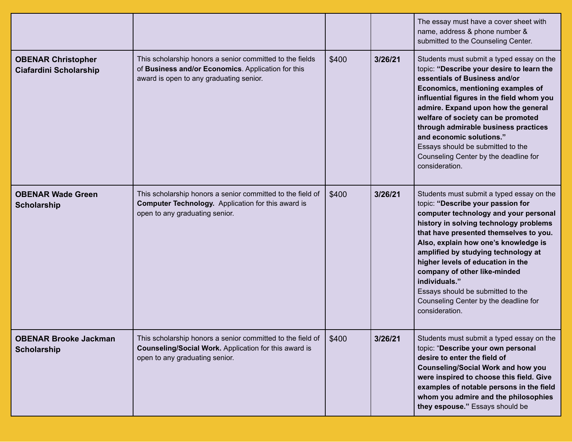|                                                            |                                                                                                                                                              |       |         | The essay must have a cover sheet with<br>name, address & phone number &<br>submitted to the Counseling Center.                                                                                                                                                                                                                                                                                                                                                                  |
|------------------------------------------------------------|--------------------------------------------------------------------------------------------------------------------------------------------------------------|-------|---------|----------------------------------------------------------------------------------------------------------------------------------------------------------------------------------------------------------------------------------------------------------------------------------------------------------------------------------------------------------------------------------------------------------------------------------------------------------------------------------|
| <b>OBENAR Christopher</b><br><b>Ciafardini Scholarship</b> | This scholarship honors a senior committed to the fields<br>of Business and/or Economics. Application for this<br>award is open to any graduating senior.    | \$400 | 3/26/21 | Students must submit a typed essay on the<br>topic: "Describe your desire to learn the<br>essentials of Business and/or<br>Economics, mentioning examples of<br>influential figures in the field whom you<br>admire. Expand upon how the general<br>welfare of society can be promoted<br>through admirable business practices<br>and economic solutions."<br>Essays should be submitted to the<br>Counseling Center by the deadline for<br>consideration.                       |
| <b>OBENAR Wade Green</b><br><b>Scholarship</b>             | This scholarship honors a senior committed to the field of<br>Computer Technology. Application for this award is<br>open to any graduating senior.           | \$400 | 3/26/21 | Students must submit a typed essay on the<br>topic: "Describe your passion for<br>computer technology and your personal<br>history in solving technology problems<br>that have presented themselves to you.<br>Also, explain how one's knowledge is<br>amplified by studying technology at<br>higher levels of education in the<br>company of other like-minded<br>individuals."<br>Essays should be submitted to the<br>Counseling Center by the deadline for<br>consideration. |
| <b>OBENAR Brooke Jackman</b><br><b>Scholarship</b>         | This scholarship honors a senior committed to the field of<br><b>Counseling/Social Work.</b> Application for this award is<br>open to any graduating senior. | \$400 | 3/26/21 | Students must submit a typed essay on the<br>topic: "Describe your own personal<br>desire to enter the field of<br><b>Counseling/Social Work and how you</b><br>were inspired to choose this field. Give<br>examples of notable persons in the field<br>whom you admire and the philosophies<br>they espouse." Essays should be                                                                                                                                                  |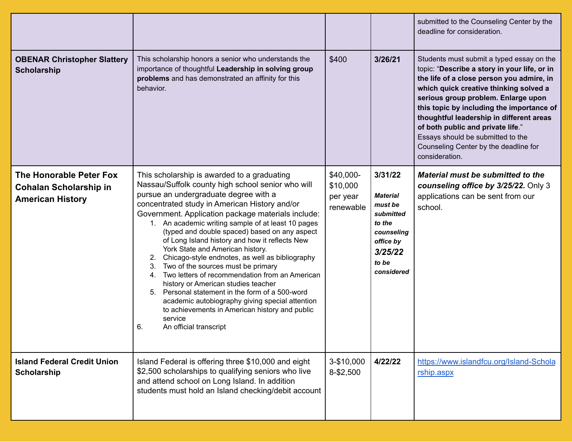|                                                                                     |                                                                                                                                                                                                                                                                                                                                                                                                                                                                                                                                                                                                                                                                                                                                                                                                                                             |                                                |                                                                                                                           | submitted to the Counseling Center by the<br>deadline for consideration.                                                                                                                                                                                                                                                                                                                                                                              |
|-------------------------------------------------------------------------------------|---------------------------------------------------------------------------------------------------------------------------------------------------------------------------------------------------------------------------------------------------------------------------------------------------------------------------------------------------------------------------------------------------------------------------------------------------------------------------------------------------------------------------------------------------------------------------------------------------------------------------------------------------------------------------------------------------------------------------------------------------------------------------------------------------------------------------------------------|------------------------------------------------|---------------------------------------------------------------------------------------------------------------------------|-------------------------------------------------------------------------------------------------------------------------------------------------------------------------------------------------------------------------------------------------------------------------------------------------------------------------------------------------------------------------------------------------------------------------------------------------------|
| <b>OBENAR Christopher Slattery</b><br><b>Scholarship</b>                            | This scholarship honors a senior who understands the<br>importance of thoughtful Leadership in solving group<br>problems and has demonstrated an affinity for this<br>behavior.                                                                                                                                                                                                                                                                                                                                                                                                                                                                                                                                                                                                                                                             | \$400                                          | 3/26/21                                                                                                                   | Students must submit a typed essay on the<br>topic: "Describe a story in your life, or in<br>the life of a close person you admire, in<br>which quick creative thinking solved a<br>serious group problem. Enlarge upon<br>this topic by including the importance of<br>thoughtful leadership in different areas<br>of both public and private life."<br>Essays should be submitted to the<br>Counseling Center by the deadline for<br>consideration. |
| The Honorable Peter Fox<br><b>Cohalan Scholarship in</b><br><b>American History</b> | This scholarship is awarded to a graduating<br>Nassau/Suffolk county high school senior who will<br>pursue an undergraduate degree with a<br>concentrated study in American History and/or<br>Government. Application package materials include:<br>1. An academic writing sample of at least 10 pages<br>(typed and double spaced) based on any aspect<br>of Long Island history and how it reflects New<br>York State and American history.<br>Chicago-style endnotes, as well as bibliography<br>2.<br>Two of the sources must be primary<br>4. Two letters of recommendation from an American<br>history or American studies teacher<br>5. Personal statement in the form of a 500-word<br>academic autobiography giving special attention<br>to achievements in American history and public<br>service<br>An official transcript<br>6. | \$40,000-<br>\$10,000<br>per year<br>renewable | 3/31/22<br><b>Material</b><br>must be<br>submitted<br>to the<br>counseling<br>office by<br>3/25/22<br>to be<br>considered | Material must be submitted to the<br>counseling office by 3/25/22. Only 3<br>applications can be sent from our<br>school.                                                                                                                                                                                                                                                                                                                             |
| <b>Island Federal Credit Union</b><br><b>Scholarship</b>                            | Island Federal is offering three \$10,000 and eight<br>\$2,500 scholarships to qualifying seniors who live<br>and attend school on Long Island. In addition<br>students must hold an Island checking/debit account                                                                                                                                                                                                                                                                                                                                                                                                                                                                                                                                                                                                                          | 3-\$10,000<br>8-\$2,500                        | 4/22/22                                                                                                                   | https://www.islandfcu.org/Island-Schola<br>rship.aspx                                                                                                                                                                                                                                                                                                                                                                                                 |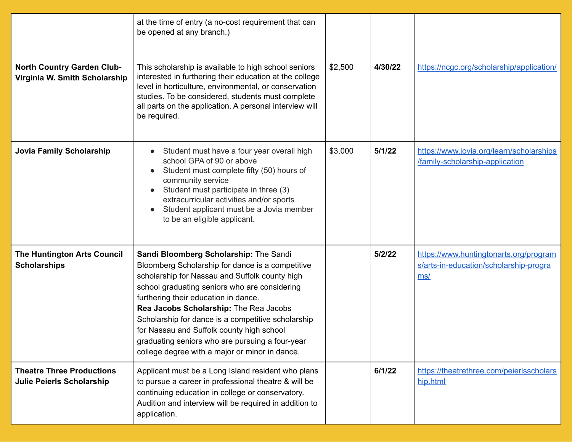|                                                                      | at the time of entry (a no-cost requirement that can<br>be opened at any branch.)                                                                                                                                                                                                                                                                                                                                                                                                       |         |         |                                                                                         |
|----------------------------------------------------------------------|-----------------------------------------------------------------------------------------------------------------------------------------------------------------------------------------------------------------------------------------------------------------------------------------------------------------------------------------------------------------------------------------------------------------------------------------------------------------------------------------|---------|---------|-----------------------------------------------------------------------------------------|
| <b>North Country Garden Club-</b><br>Virginia W. Smith Scholarship   | This scholarship is available to high school seniors<br>interested in furthering their education at the college<br>level in horticulture, environmental, or conservation<br>studies. To be considered, students must complete<br>all parts on the application. A personal interview will<br>be required.                                                                                                                                                                                | \$2,500 | 4/30/22 | https://ncgc.org/scholarship/application/                                               |
| <b>Jovia Family Scholarship</b>                                      | Student must have a four year overall high<br>$\bullet$<br>school GPA of 90 or above<br>Student must complete fifty (50) hours of<br>community service<br>Student must participate in three (3)<br>$\bullet$<br>extracurricular activities and/or sports<br>Student applicant must be a Jovia member<br>to be an eligible applicant.                                                                                                                                                    | \$3,000 | 5/1/22  | https://www.jovia.org/learn/scholarships<br>/family-scholarship-application             |
| <b>The Huntington Arts Council</b><br><b>Scholarships</b>            | Sandi Bloomberg Scholarship: The Sandi<br>Bloomberg Scholarship for dance is a competitive<br>scholarship for Nassau and Suffolk county high<br>school graduating seniors who are considering<br>furthering their education in dance.<br>Rea Jacobs Scholarship: The Rea Jacobs<br>Scholarship for dance is a competitive scholarship<br>for Nassau and Suffolk county high school<br>graduating seniors who are pursuing a four-year<br>college degree with a major or minor in dance. |         | 5/2/22  | https://www.huntingtonarts.org/program<br>s/arts-in-education/scholarship-progra<br>ms/ |
| <b>Theatre Three Productions</b><br><b>Julie Peierls Scholarship</b> | Applicant must be a Long Island resident who plans<br>to pursue a career in professional theatre & will be<br>continuing education in college or conservatory.<br>Audition and interview will be required in addition to<br>application.                                                                                                                                                                                                                                                |         | 6/1/22  | https://theatrethree.com/peierlsscholars<br>hip.html                                    |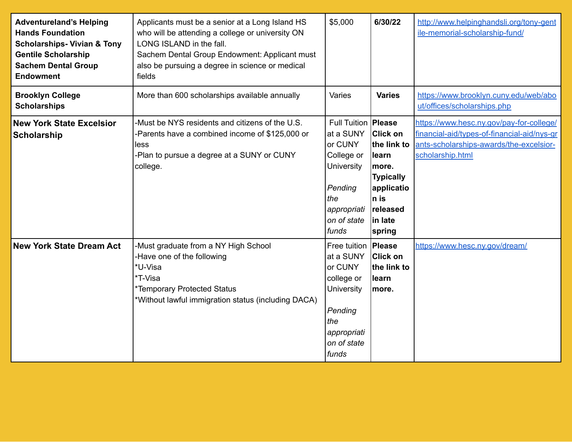| <b>Adventureland's Helping</b><br><b>Hands Foundation</b><br><b>Scholarships- Vivian &amp; Tony</b><br><b>Gentile Scholarship</b><br><b>Sachem Dental Group</b><br><b>Endowment</b> | Applicants must be a senior at a Long Island HS<br>who will be attending a college or university ON<br>LONG ISLAND in the fall.<br>Sachem Dental Group Endowment: Applicant must<br>also be pursuing a degree in science or medical<br>fields | \$5,000                                                                                                                                 | 6/30/22                                                                                                               | http://www.helpinghandsli.org/tony-gent<br>ile-memorial-scholarship-fund/                                                                              |
|-------------------------------------------------------------------------------------------------------------------------------------------------------------------------------------|-----------------------------------------------------------------------------------------------------------------------------------------------------------------------------------------------------------------------------------------------|-----------------------------------------------------------------------------------------------------------------------------------------|-----------------------------------------------------------------------------------------------------------------------|--------------------------------------------------------------------------------------------------------------------------------------------------------|
| <b>Brooklyn College</b><br><b>Scholarships</b>                                                                                                                                      | More than 600 scholarships available annually                                                                                                                                                                                                 | Varies                                                                                                                                  | <b>Varies</b>                                                                                                         | https://www.brooklyn.cuny.edu/web/abo<br>ut/offices/scholarships.php                                                                                   |
| <b>New York State Excelsior</b><br>Scholarship                                                                                                                                      | Must be NYS residents and citizens of the U.S.<br>Parents have a combined income of \$125,000 or<br>less<br>-Plan to pursue a degree at a SUNY or CUNY<br>college.                                                                            | Full Tuition   Please<br>at a SUNY<br>or CUNY<br>College or<br>University<br>Pending<br>the<br>appropriati<br>on of state<br>funds      | <b>Click on</b><br>the link to<br>learn<br>more.<br>Typically<br>applicatio<br>In is<br>released<br>in late<br>spring | https://www.hesc.ny.gov/pay-for-college/<br>financial-aid/types-of-financial-aid/nys-gr<br>ants-scholarships-awards/the-excelsior-<br>scholarship.html |
| <b>New York State Dream Act</b>                                                                                                                                                     | Must graduate from a NY High School<br>-Have one of the following<br>*U-Visa<br>*T-Visa<br>*Temporary Protected Status<br>*Without lawful immigration status (including DACA)                                                                 | <b>Free tuition Please</b><br>at a SUNY<br>or CUNY<br>college or<br>University<br>Pending<br>the<br>appropriati<br>on of state<br>funds | <b>Click on</b><br>the link to<br>llearn<br>more.                                                                     | https://www.hesc.ny.gov/dream/                                                                                                                         |